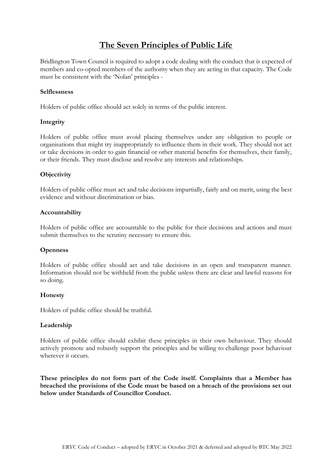# **The Seven Principles of Public Life**

Bridlington Town Council is required to adopt a code dealing with the conduct that is expected of members and co-opted members of the authority when they are acting in that capacity. The Code must be consistent with the 'Nolan' principles -

## **Selflessness**

Holders of public office should act solely in terms of the public interest.

## **Integrity**

Holders of public office must avoid placing themselves under any obligation to people or organisations that might try inappropriately to influence them in their work. They should not act or take decisions in order to gain financial or other material benefits for themselves, their family, or their friends. They must disclose and resolve any interests and relationships.

## **Objectivity**

Holders of public office must act and take decisions impartially, fairly and on merit, using the best evidence and without discrimination or bias.

#### **Accountability**

Holders of public office are accountable to the public for their decisions and actions and must submit themselves to the scrutiny necessary to ensure this.

## **Openness**

Holders of public office should act and take decisions in an open and transparent manner. Information should not be withheld from the public unless there are clear and lawful reasons for so doing.

## **Honesty**

Holders of public office should be truthful.

## **Leadership**

Holders of public office should exhibit these principles in their own behaviour. They should actively promote and robustly support the principles and be willing to challenge poor behaviour wherever it occurs.

**These principles do not form part of the Code itself. Complaints that a Member has breached the provisions of the Code must be based on a breach of the provisions set out below under Standards of Councillor Conduct.**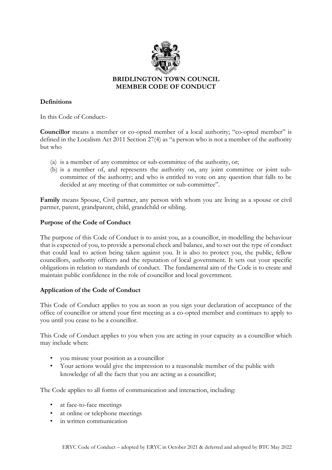

# **BRIDLINGTON TOWN COUNCIL MEMBER CODE OF CONDUCT**

# **Definitions**

In this Code of Conduct:-

**Councillor** means a member or co-opted member of a local authority; "co-opted member" is defined in the Localism Act 2011 Section 27(4) as "a person who is not a member of the authority but who

- (a) is a member of any committee or sub-committee of the authority, or;
- (b) is a member of, and represents the authority on, any joint committee or joint subcommittee of the authority; and who is entitled to vote on any question that falls to be decided at any meeting of that committee or sub-committee".

**Family** means Spouse, Civil partner, any person with whom you are living as a spouse or civil partner, parent, grandparent, child, grandchild or sibling.

## **Purpose of the Code of Conduct**

The purpose of this Code of Conduct is to assist you, as a councillor, in modelling the behaviour that is expected of you, to provide a personal check and balance, and to set out the type of conduct that could lead to action being taken against you. It is also to protect you, the public, fellow councillors, authority officers and the reputation of local government. It sets out your specific obligations in relation to standards of conduct. The fundamental aim of the Code is to create and maintain public confidence in the role of councillor and local government.

## **Application of the Code of Conduct**

This Code of Conduct applies to you as soon as you sign your declaration of acceptance of the office of councillor or attend your first meeting as a co-opted member and continues to apply to you until you cease to be a councillor.

This Code of Conduct applies to you when you are acting in your capacity as a councillor which may include when:

- you misuse your position as a councillor
- Your actions would give the impression to a reasonable member of the public with knowledge of all the facts that you are acting as a councillor;

The Code applies to all forms of communication and interaction, including:

- at face-to-face meetings
- at online or telephone meetings
- in written communication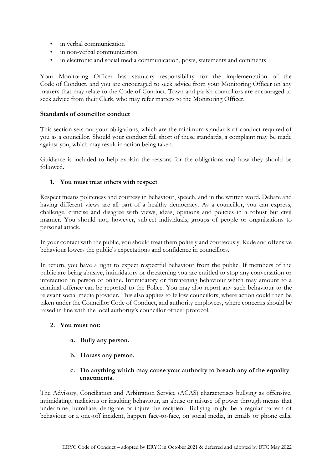• in verbal communication

.

- in non-verbal communication
- in electronic and social media communication, posts, statements and comments

Your Monitoring Officer has statutory responsibility for the implementation of the Code of Conduct, and you are encouraged to seek advice from your Monitoring Officer on any matters that may relate to the Code of Conduct. Town and parish councillors are encouraged to seek advice from their Clerk, who may refer matters to the Monitoring Officer.

#### **Standards of councillor conduct**

This section sets out your obligations, which are the minimum standards of conduct required of you as a councillor. Should your conduct fall short of these standards, a complaint may be made against you, which may result in action being taken.

Guidance is included to help explain the reasons for the obligations and how they should be followed.

## **1. You must treat others with respect**

Respect means politeness and courtesy in behaviour, speech, and in the written word. Debate and having different views are all part of a healthy democracy. As a councillor, you can express, challenge, criticise and disagree with views, ideas, opinions and policies in a robust but civil manner. You should not, however, subject individuals, groups of people or organisations to personal attack.

In your contact with the public, you should treat them politely and courteously. Rude and offensive behaviour lowers the public's expectations and confidence in councillors.

In return, you have a right to expect respectful behaviour from the public. If members of the public are being abusive, intimidatory or threatening you are entitled to stop any conversation or interaction in person or online. Intimidatory or threatening behaviour which may amount to a criminal offence can be reported to the Police. You may also report any such behaviour to the relevant social media provider. This also applies to fellow councillors, where action could then be taken under the Councillor Code of Conduct, and authority employees, where concerns should be raised in line with the local authority's councillor officer protocol.

#### **2. You must not:**

- **a. Bully any person.**
- **b. Harass any person.**
- **c. Do anything which may cause your authority to breach any of the equality enactments.**

The Advisory, Conciliation and Arbitration Service (ACAS) characterises bullying as offensive, intimidating, malicious or insulting behaviour, an abuse or misuse of power through means that undermine, humiliate, denigrate or injure the recipient. Bullying might be a regular pattern of behaviour or a one-off incident, happen face-to-face, on social media, in emails or phone calls,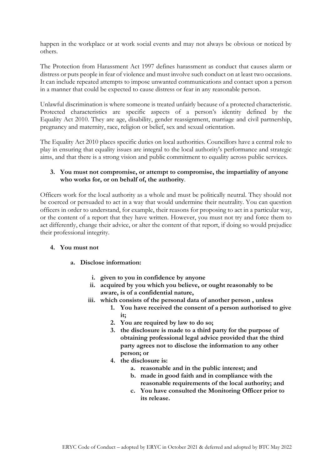happen in the workplace or at work social events and may not always be obvious or noticed by others.

The Protection from Harassment Act 1997 defines harassment as conduct that causes alarm or distress or puts people in fear of violence and must involve such conduct on at least two occasions. It can include repeated attempts to impose unwanted communications and contact upon a person in a manner that could be expected to cause distress or fear in any reasonable person.

Unlawful discrimination is where someone is treated unfairly because of a protected characteristic. Protected characteristics are specific aspects of a person's identity defined by the Equality Act 2010. They are age, disability, gender reassignment, marriage and civil partnership, pregnancy and maternity, race, religion or belief, sex and sexual orientation.

The Equality Act 2010 places specific duties on local authorities. Councillors have a central role to play in ensuring that equality issues are integral to the local authority's performance and strategic aims, and that there is a strong vision and public commitment to equality across public services.

## **3. You must not compromise, or attempt to compromise, the impartiality of anyone who works for, or on behalf of, the authority**.

Officers work for the local authority as a whole and must be politically neutral. They should not be coerced or persuaded to act in a way that would undermine their neutrality. You can question officers in order to understand, for example, their reasons for proposing to act in a particular way, or the content of a report that they have written. However, you must not try and force them to act differently, change their advice, or alter the content of that report, if doing so would prejudice their professional integrity.

## **4. You must not**

## **a. Disclose information:**

- **i. given to you in confidence by anyone**
- **ii. acquired by you which you believe, or ought reasonably to be aware, is of a confidential nature,**
- **iii. which consists of the personal data of another person , unless** 
	- **1. You have received the consent of a person authorised to give it;**
	- **2. You are required by law to do so;**
	- **3. the disclosure is made to a third party for the purpose of obtaining professional legal advice provided that the third party agrees not to disclose the information to any other person; or**
	- **4. the disclosure is:** 
		- **a. reasonable and in the public interest; and**
		- **b. made in good faith and in compliance with the reasonable requirements of the local authority; and**
		- **c. You have consulted the Monitoring Officer prior to its release.**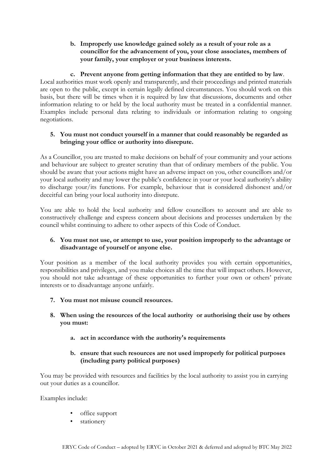## **b. Improperly use knowledge gained solely as a result of your role as a councillor for the advancement of you, your close associates, members of your family, your employer or your business interests.**

## **c. Prevent anyone from getting information that they are entitled to by law**.

Local authorities must work openly and transparently, and their proceedings and printed materials are open to the public, except in certain legally defined circumstances. You should work on this basis, but there will be times when it is required by law that discussions, documents and other information relating to or held by the local authority must be treated in a confidential manner. Examples include personal data relating to individuals or information relating to ongoing negotiations.

## **5. You must not conduct yourself in a manner that could reasonably be regarded as bringing your office or authority into disrepute.**

As a Councillor, you are trusted to make decisions on behalf of your community and your actions and behaviour are subject to greater scrutiny than that of ordinary members of the public. You should be aware that your actions might have an adverse impact on you, other councillors and/or your local authority and may lower the public's confidence in your or your local authority's ability to discharge your/its functions. For example, behaviour that is considered dishonest and/or deceitful can bring your local authority into disrepute.

You are able to hold the local authority and fellow councillors to account and are able to constructively challenge and express concern about decisions and processes undertaken by the council whilst continuing to adhere to other aspects of this Code of Conduct.

# **6. You must not use, or attempt to use, your position improperly to the advantage or disadvantage of yourself or anyone else.**

Your position as a member of the local authority provides you with certain opportunities, responsibilities and privileges, and you make choices all the time that will impact others. However, you should not take advantage of these opportunities to further your own or others' private interests or to disadvantage anyone unfairly.

# **7. You must not misuse council resources.**

- **8. When using the resources of the local authority or authorising their use by others you must:** 
	- **a. act in accordance with the authority's requirements**

## **b. ensure that such resources are not used improperly for political purposes (including party political purposes)**

You may be provided with resources and facilities by the local authority to assist you in carrying out your duties as a councillor.

Examples include:

- office support
- stationery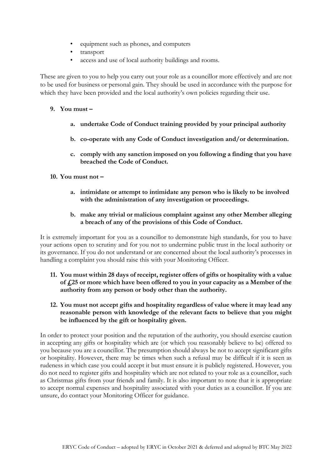- equipment such as phones, and computers
- transport
- access and use of local authority buildings and rooms.

These are given to you to help you carry out your role as a councillor more effectively and are not to be used for business or personal gain. They should be used in accordance with the purpose for which they have been provided and the local authority's own policies regarding their use.

## **9. You must –**

- **a. undertake Code of Conduct training provided by your principal authority**
- **b. co-operate with any Code of Conduct investigation and/or determination.**
- **c. comply with any sanction imposed on you following a finding that you have breached the Code of Conduct.**

## **10. You must not –**

**a. intimidate or attempt to intimidate any person who is likely to be involved with the administration of any investigation or proceedings.**

## **b. make any trivial or malicious complaint against any other Member alleging a breach of any of the provisions of this Code of Conduct.**

It is extremely important for you as a councillor to demonstrate high standards, for you to have your actions open to scrutiny and for you not to undermine public trust in the local authority or its governance. If you do not understand or are concerned about the local authority's processes in handling a complaint you should raise this with your Monitoring Officer.

- **11. You must within 28 days of receipt, register offers of gifts or hospitality with a value of £25 or more which have been offered to you in your capacity as a Member of the authority from any person or body other than the authority.**
- **12. You must not accept gifts and hospitality regardless of value where it may lead any reasonable person with knowledge of the relevant facts to believe that you might be influenced by the gift or hospitality given.**

In order to protect your position and the reputation of the authority, you should exercise caution in accepting any gifts or hospitality which are (or which you reasonably believe to be) offered to you because you are a councillor. The presumption should always be not to accept significant gifts or hospitality. However, there may be times when such a refusal may be difficult if it is seen as rudeness in which case you could accept it but must ensure it is publicly registered. However, you do not need to register gifts and hospitality which are not related to your role as a councillor, such as Christmas gifts from your friends and family. It is also important to note that it is appropriate to accept normal expenses and hospitality associated with your duties as a councillor. If you are unsure, do contact your Monitoring Officer for guidance.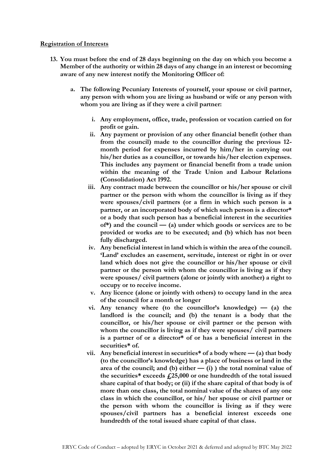#### **Registration of Interests**

- **13. You must before the end of 28 days beginning on the day on which you become a Member of the authority or within 28 days of any change in an interest or becoming aware of any new interest notify the Monitoring Officer of:**
	- **a. The following Pecuniary Interests of yourself, your spouse or civil partner, any person with whom you are living as husband or wife or any person with whom you are living as if they were a civil partner:**
		- **i. Any employment, office, trade, profession or vocation carried on for profit or gain.**
		- **ii. Any payment or provision of any other financial benefit (other than from the council) made to the councillor during the previous 12 month period for expenses incurred by him/her in carrying out his/her duties as a councillor, or towards his/her election expenses. This includes any payment or financial benefit from a trade union within the meaning of the Trade Union and Labour Relations (Consolidation) Act 1992.**
		- **iii. Any contract made between the councillor or his/her spouse or civil partner or the person with whom the councillor is living as if they were spouses/civil partners (or a firm in which such person is a partner, or an incorporated body of which such person is a director\* or a body that such person has a beneficial interest in the securities of\*) and the council — (a) under which goods or services are to be provided or works are to be executed; and (b) which has not been fully discharged.**
		- **iv. Any beneficial interest in land which is within the area of the council. 'Land' excludes an easement, servitude, interest or right in or over land which does not give the councillor or his/her spouse or civil partner or the person with whom the councillor is living as if they were spouses/ civil partners (alone or jointly with another) a right to occupy or to receive income.**
		- **v. Any licence (alone or jointly with others) to occupy land in the area of the council for a month or longer**
		- **vi. Any tenancy where (to the councillor's knowledge) — (a) the landlord is the council; and (b) the tenant is a body that the councillor, or his/her spouse or civil partner or the person with whom the councillor is living as if they were spouses/ civil partners is a partner of or a director\* of or has a beneficial interest in the securities\* of.**
		- vii. Any beneficial interest in securities<sup>\*</sup> of a body where  $-$  (a) that body **(to the councillor's knowledge) has a place of business or land in the area of the council; and (b) either — (i) ) the total nominal value of the securities\* exceeds £25,000 or one hundredth of the total issued share capital of that body; or (ii) if the share capital of that body is of more than one class, the total nominal value of the shares of any one class in which the councillor, or his/ her spouse or civil partner or the person with whom the councillor is living as if they were spouses/civil partners has a beneficial interest exceeds one hundredth of the total issued share capital of that class.**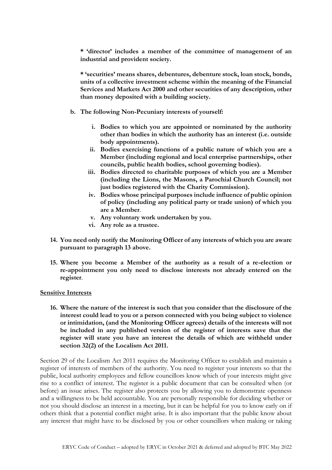**\* 'director' includes a member of the committee of management of an industrial and provident society.** 

**\* 'securities' means shares, debentures, debenture stock, loan stock, bonds, units of a collective investment scheme within the meaning of the Financial Services and Markets Act 2000 and other securities of any description, other than money deposited with a building society.** 

- **b. The following Non-Pecuniary interests of yourself:**
	- **i. Bodies to which you are appointed or nominated by the authority other than bodies in which the authority has an interest (i.e. outside body appointments).**
	- **ii. Bodies exercising functions of a public nature of which you are a Member (including regional and local enterprise partnerships, other councils, public health bodies, school governing bodies).**
	- **iii. Bodies directed to charitable purposes of which you are a Member (including the Lions, the Masons, a Parochial Church Council; not just bodies registered with the Charity Commission).**
	- **iv. Bodies whose principal purposes include influence of public opinion of policy (including any political party or trade union) of which you are a Member**.
	- **v. Any voluntary work undertaken by you.**
	- **vi. Any role as a trustee.**
- **14. You need only notify the Monitoring Officer of any interests of which you are aware pursuant to paragraph 13 above.**
- **15. Where you become a Member of the authority as a result of a re-election or re-appointment you only need to disclose interests not already entered on the register**.

#### **Sensitive Interests**

**16. Where the nature of the interest is such that you consider that the disclosure of the interest could lead to you or a person connected with you being subject to violence or intimidation, (and the Monitoring Officer agrees) details of the interests will not be included in any published version of the register of interests save that the register will state you have an interest the details of which are withheld under section 32(2) of the Localism Act 2011.**

Section 29 of the Localism Act 2011 requires the Monitoring Officer to establish and maintain a register of interests of members of the authority. You need to register your interests so that the public, local authority employees and fellow councillors know which of your interests might give rise to a conflict of interest. The register is a public document that can be consulted when (or before) an issue arises. The register also protects you by allowing you to demonstrate openness and a willingness to be held accountable. You are personally responsible for deciding whether or not you should disclose an interest in a meeting, but it can be helpful for you to know early on if others think that a potential conflict might arise. It is also important that the public know about any interest that might have to be disclosed by you or other councillors when making or taking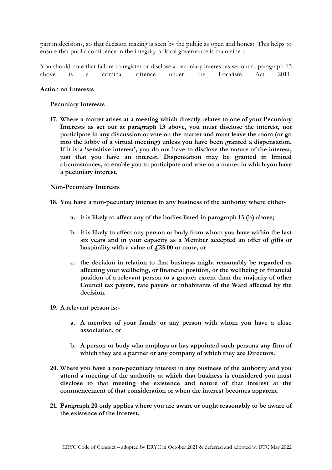part in decisions, so that decision making is seen by the public as open and honest. This helps to ensure that public confidence in the integrity of local governance is maintained.

You should note that failure to register or disclose a pecuniary interest as set out at paragraph 13 above is a criminal offence under the Localism Act 2011.

#### **Action on Interests**

#### **Pecuniary Interests**

**17. Where a matter arises at a meeting which directly relates to one of your Pecuniary Interests as set out at paragraph 13 above, you must disclose the interest, not participate in any discussion or vote on the matter and must leave the room (or go into the lobby of a virtual meeting) unless you have been granted a dispensation. If it is a 'sensitive interest', you do not have to disclose the nature of the interest, just that you have an interest. Dispensation may be granted in limited circumstances, to enable you to participate and vote on a matter in which you have a pecuniary interest.** 

#### **Non-Pecuniary Interests**

- **18. You have a non-pecuniary interest in any business of the authority where either**
	- **a. it is likely to affect any of the bodies listed in paragraph 13 (b) above;**
	- **b. it is likely to affect any person or body from whom you have within the last six years and in your capacity as a Member accepted an offer of gifts or hospitality with a value of £25.00 or more, or**
	- **c. the decision in relation to that business might reasonably be regarded as affecting your wellbeing, or financial position, or the wellbeing or financial position of a relevant person to a greater extent than the majority of other Council tax payers, rate payers or inhabitants of the Ward affected by the decision**.

#### **19. A relevant person is:-**

- **a. A member of your family or any person with whom you have a close association, or**
- **b. A person or body who employs or has appointed such persons any firm of which they are a partner or any company of which they are Directors.**
- **20. Where you have a non-pecuniary interest in any business of the authority and you attend a meeting of the authority at which that business is considered you must disclose to that meeting the existence and nature of that interest at the commencement of that consideration or when the interest becomes apparent.**
- **21. Paragraph 20 only applies where you are aware or ought reasonably to be aware of the existence of the interest.**